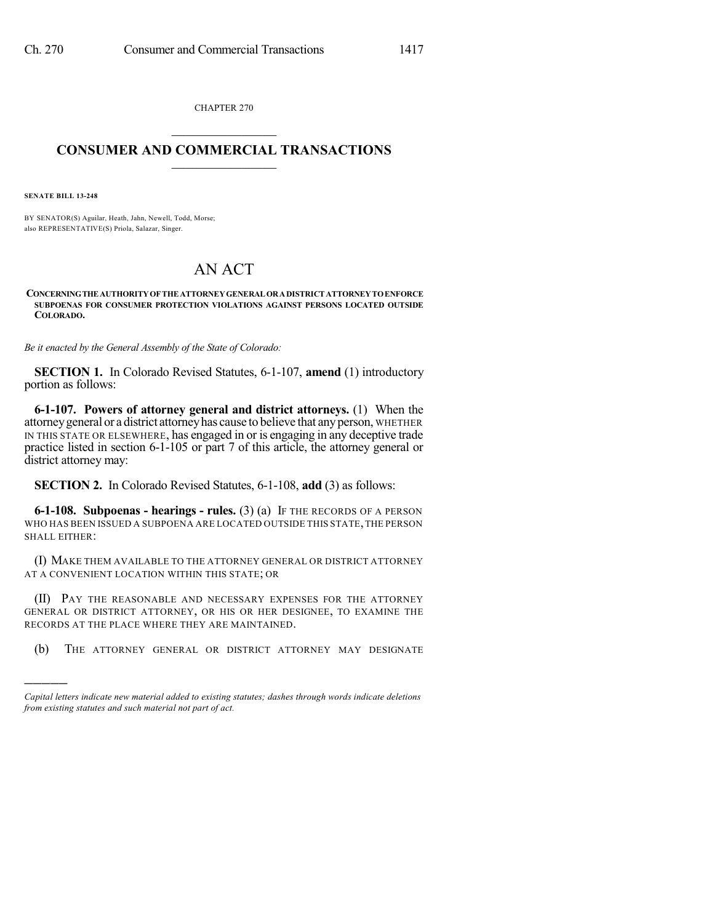CHAPTER 270  $\mathcal{L}_\text{max}$  . The set of the set of the set of the set of the set of the set of the set of the set of the set of the set of the set of the set of the set of the set of the set of the set of the set of the set of the set

## **CONSUMER AND COMMERCIAL TRANSACTIONS**  $\frac{1}{2}$  ,  $\frac{1}{2}$  ,  $\frac{1}{2}$  ,  $\frac{1}{2}$  ,  $\frac{1}{2}$  ,  $\frac{1}{2}$

**SENATE BILL 13-248**

)))))

BY SENATOR(S) Aguilar, Heath, Jahn, Newell, Todd, Morse; also REPRESENTATIVE(S) Priola, Salazar, Singer.

## AN ACT

## **CONCERNINGTHE AUTHORITYOF THE ATTORNEYGENERAL ORADISTRICT ATTORNEYTOENFORCE SUBPOENAS FOR CONSUMER PROTECTION VIOLATIONS AGAINST PERSONS LOCATED OUTSIDE COLORADO.**

*Be it enacted by the General Assembly of the State of Colorado:*

**SECTION 1.** In Colorado Revised Statutes, 6-1-107, **amend** (1) introductory portion as follows:

**6-1-107. Powers of attorney general and district attorneys.** (1) When the attorneygeneral or a district attorneyhas cause to believe that anyperson, WHETHER IN THIS STATE OR ELSEWHERE, has engaged in or is engaging in any deceptive trade practice listed in section 6-1-105 or part 7 of this article, the attorney general or district attorney may:

**SECTION 2.** In Colorado Revised Statutes, 6-1-108, **add** (3) as follows:

**6-1-108. Subpoenas - hearings - rules.** (3) (a) IF THE RECORDS OF A PERSON WHO HAS BEEN ISSUED A SUBPOENA ARE LOCATED OUTSIDE THIS STATE,THE PERSON SHALL EITHER:

(I) MAKE THEM AVAILABLE TO THE ATTORNEY GENERAL OR DISTRICT ATTORNEY AT A CONVENIENT LOCATION WITHIN THIS STATE; OR

(II) PAY THE REASONABLE AND NECESSARY EXPENSES FOR THE ATTORNEY GENERAL OR DISTRICT ATTORNEY, OR HIS OR HER DESIGNEE, TO EXAMINE THE RECORDS AT THE PLACE WHERE THEY ARE MAINTAINED.

(b) THE ATTORNEY GENERAL OR DISTRICT ATTORNEY MAY DESIGNATE

*Capital letters indicate new material added to existing statutes; dashes through words indicate deletions from existing statutes and such material not part of act.*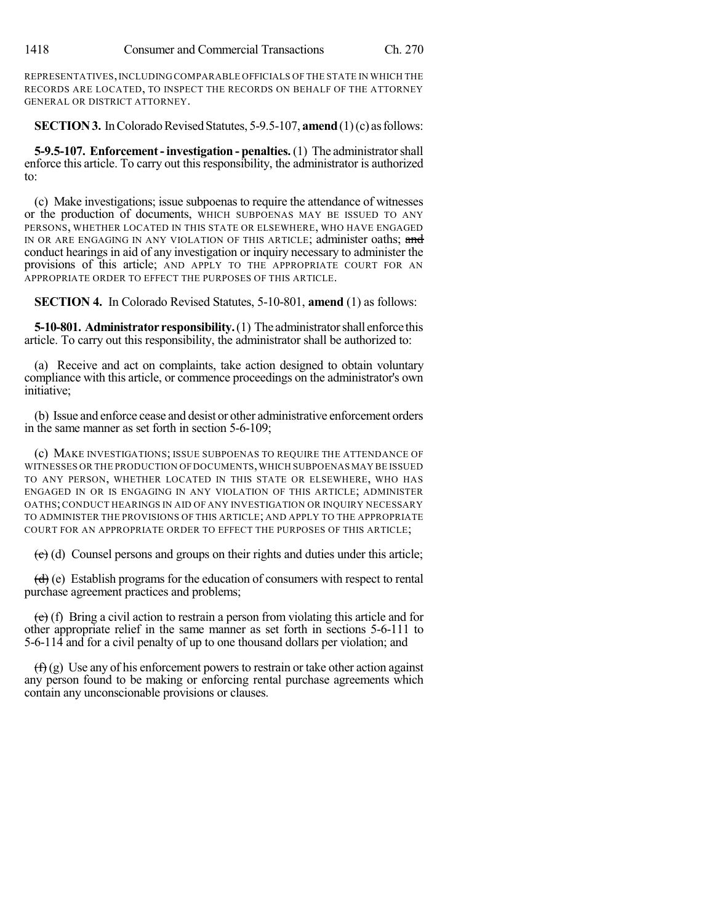REPRESENTATIVES,INCLUDING COMPARABLE OFFICIALS OF THE STATE IN WHICH THE RECORDS ARE LOCATED, TO INSPECT THE RECORDS ON BEHALF OF THE ATTORNEY GENERAL OR DISTRICT ATTORNEY.

**SECTION 3.** In Colorado Revised Statutes, 5-9.5-107, **amend** (1)(c) as follows:

**5-9.5-107. Enforcement-investigation - penalties.**(1) The administratorshall enforce this article. To carry out this responsibility, the administrator is authorized to:

(c) Make investigations; issue subpoenas to require the attendance of witnesses or the production of documents, WHICH SUBPOENAS MAY BE ISSUED TO ANY PERSONS, WHETHER LOCATED IN THIS STATE OR ELSEWHERE, WHO HAVE ENGAGED IN OR ARE ENGAGING IN ANY VIOLATION OF THIS ARTICLE; administer oaths; and conduct hearings in aid of any investigation or inquiry necessary to administer the provisions of this article; AND APPLY TO THE APPROPRIATE COURT FOR AN APPROPRIATE ORDER TO EFFECT THE PURPOSES OF THIS ARTICLE.

**SECTION 4.** In Colorado Revised Statutes, 5-10-801, **amend** (1) as follows:

**5-10-801. Administrator responsibility.**(1) The administratorshall enforce this article. To carry out this responsibility, the administrator shall be authorized to:

(a) Receive and act on complaints, take action designed to obtain voluntary compliance with this article, or commence proceedings on the administrator's own initiative;

(b) Issue and enforce cease and desist or other administrative enforcement orders in the same manner as set forth in section 5-6-109;

(c) MAKE INVESTIGATIONS; ISSUE SUBPOENAS TO REQUIRE THE ATTENDANCE OF WITNESSES OR THE PRODUCTION OF DOCUMENTS,WHICH SUBPOENAS MAY BE ISSUED TO ANY PERSON, WHETHER LOCATED IN THIS STATE OR ELSEWHERE, WHO HAS ENGAGED IN OR IS ENGAGING IN ANY VIOLATION OF THIS ARTICLE; ADMINISTER OATHS;CONDUCT HEARINGS IN AID OF ANY INVESTIGATION OR INQUIRY NECESSARY TO ADMINISTER THE PROVISIONS OF THIS ARTICLE; AND APPLY TO THE APPROPRIATE COURT FOR AN APPROPRIATE ORDER TO EFFECT THE PURPOSES OF THIS ARTICLE;

 $\left(\frac{e}{c}\right)$  (d) Counsel persons and groups on their rights and duties under this article;

 $(d)$  (e) Establish programs for the education of consumers with respect to rental purchase agreement practices and problems;

 $(e)$  (f) Bring a civil action to restrain a person from violating this article and for other appropriate relief in the same manner as set forth in sections 5-6-111 to 5-6-114 and for a civil penalty of up to one thousand dollars per violation; and

 $(f(x))$  Use any of his enforcement powers to restrain or take other action against any person found to be making or enforcing rental purchase agreements which contain any unconscionable provisions or clauses.